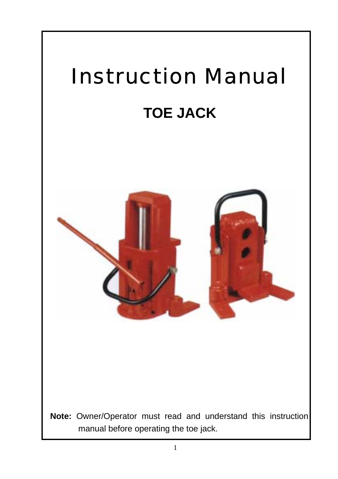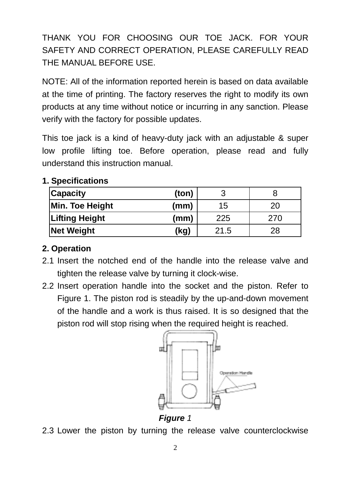THANK YOU FOR CHOOSING OUR TOE JACK. FOR YOUR SAFETY AND CORRECT OPERATION, PLEASE CAREFULLY READ THE MANUAL BEFORE USE.

NOTE: All of the information reported herein is based on data available at the time of printing. The factory reserves the right to modify its own products at any time without notice or incurring in any sanction. Please verify with the factory for possible updates.

This toe jack is a kind of heavy-duty jack with an adjustable & super low profile lifting toe. Before operation, please read and fully understand this instruction manual.

| <b>Capacity</b>       | (ton) |      |     |
|-----------------------|-------|------|-----|
| Min. Toe Height       | (mm)  | 15   | 20  |
| <b>Lifting Height</b> | (mm)  | 225  | 270 |
| <b>Net Weight</b>     | (kg)  | 21.5 | 28  |

## **1. Specifications**

## **2. Operation**

- 2.1 Insert the notched end of the handle into the release valve and tighten the release valve by turning it clock-wise.
- 2.2 Insert operation handle into the socket and the piston. Refer to Figure 1. The piston rod is steadily by the up-and-down movement of the handle and a work is thus raised. It is so designed that the piston rod will stop rising when the required height is reached.



*Figure 1* 

2.3 Lower the piston by turning the release valve counterclockwise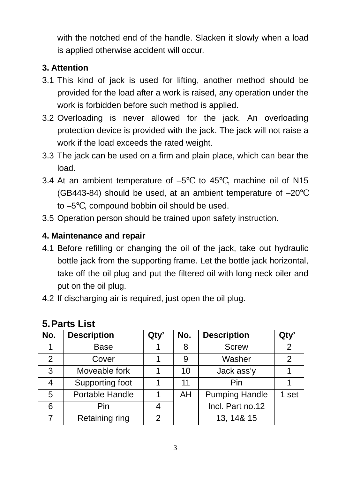with the notched end of the handle. Slacken it slowly when a load is applied otherwise accident will occur.

## **3. Attention**

- 3.1 This kind of jack is used for lifting, another method should be provided for the load after a work is raised, any operation under the work is forbidden before such method is applied.
- 3.2 Overloading is never allowed for the jack. An overloading protection device is provided with the jack. The jack will not raise a work if the load exceeds the rated weight.
- 3.3 The jack can be used on a firm and plain place, which can bear the load.
- 3.4 At an ambient temperature of –5 to 45 , machine oil of N15 (GB443-84) should be used, at an ambient temperature of –20 to –5 , compound bobbin oil should be used.
- 3.5 Operation person should be trained upon safety instruction.

#### **4. Maintenance and repair**

- 4.1 Before refilling or changing the oil of the jack, take out hydraulic bottle jack from the supporting frame. Let the bottle jack horizontal, take off the oil plug and put the filtered oil with long-neck oiler and put on the oil plug.
- 4.2 If discharging air is required, just open the oil plug.

| No.           | <b>Description</b> | Qty' | No. | <b>Description</b>    | Qty'  |
|---------------|--------------------|------|-----|-----------------------|-------|
|               | Base               |      | 8   | <b>Screw</b>          | 2     |
| $\mathcal{P}$ | Cover              |      | 9   | Washer                | 2     |
| 3             | Moveable fork      |      | 10  | Jack ass'y            |       |
| 4             | Supporting foot    |      | 11  | Pin                   |       |
| 5             | Portable Handle    |      | AH  | <b>Pumping Handle</b> | 1 set |
| 6             | Pin                | 4    |     | Incl. Part no.12      |       |
|               | Retaining ring     | 2    |     | 13, 14& 15            |       |

# **5. Parts List**